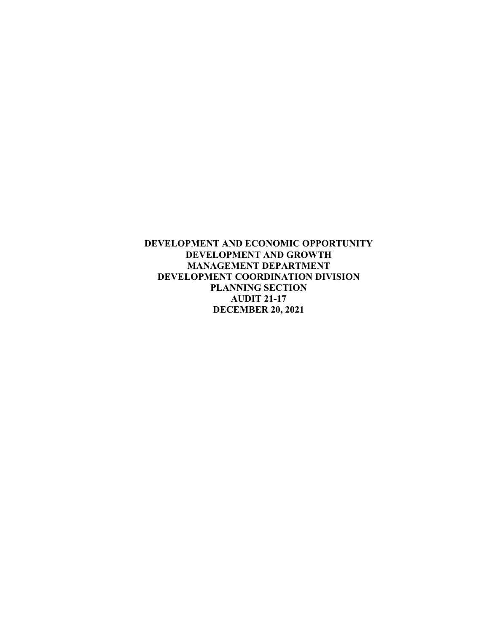**DEVELOPMENT AND ECONOMIC OPPORTUNITY DEVELOPMENT AND GROWTH MANAGEMENT DEPARTMENT DEVELOPMENT COORDINATION DIVISION PLANNING SECTION AUDIT 21-17 DECEMBER 20, 2021**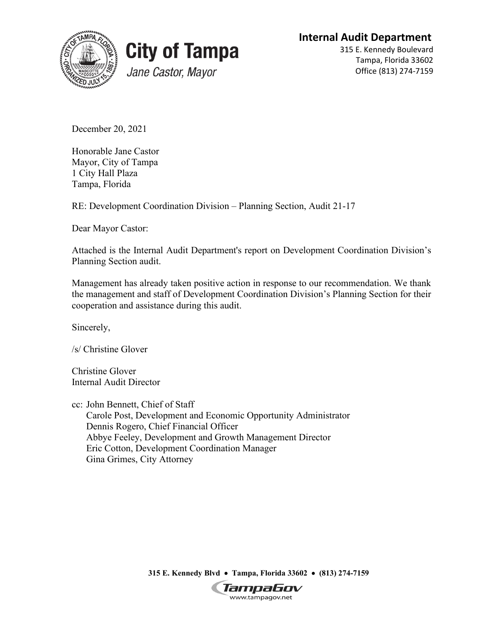**Internal Audit Department**





315 E. Kennedy Boulevard Tampa, Florida 33602 Office (813) 274-7159

December 20, 2021

Honorable Jane Castor Mayor, City of Tampa 1 City Hall Plaza Tampa, Florida

RE: Development Coordination Division – Planning Section, Audit 21-17

Dear Mayor Castor:

Attached is the Internal Audit Department's report on Development Coordination Division's Planning Section audit.

Management has already taken positive action in response to our recommendation. We thank the management and staff of Development Coordination Division's Planning Section for their cooperation and assistance during this audit.

Sincerely,

/s/ Christine Glover

Christine Glover Internal Audit Director

cc: John Bennett, Chief of Staff Carole Post, Development and Economic Opportunity Administrator Dennis Rogero, Chief Financial Officer Abbye Feeley, Development and Growth Management Director Eric Cotton, Development Coordination Manager Gina Grimes, City Attorney

**315 E. Kennedy Blvd** • **Tampa, Florida 33602** • **(813) 274-7159**

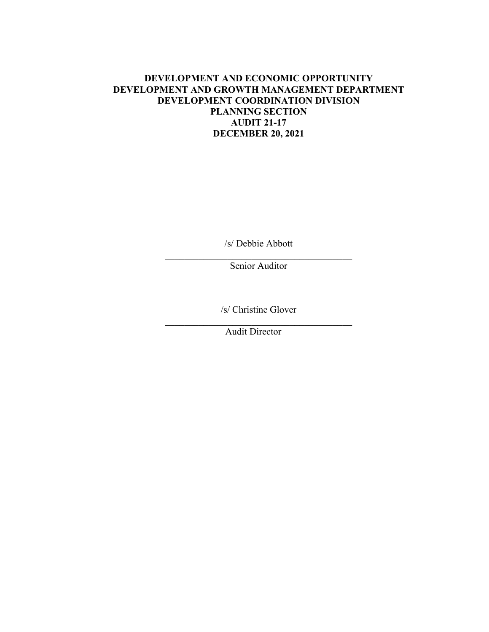## **DEVELOPMENT AND ECONOMIC OPPORTUNITY DEVELOPMENT AND GROWTH MANAGEMENT DEPARTMENT DEVELOPMENT COORDINATION DIVISION PLANNING SECTION AUDIT 21-17 DECEMBER 20, 2021**

/s/ Debbie Abbott

\_\_\_\_\_\_\_\_\_\_\_\_\_\_\_\_\_\_\_\_\_\_\_\_\_\_\_\_\_\_\_\_\_\_\_\_\_\_\_ Senior Auditor

/s/ Christine Glover  $\mathcal{L}_\text{max}$  and  $\mathcal{L}_\text{max}$  and  $\mathcal{L}_\text{max}$  and  $\mathcal{L}_\text{max}$ 

Audit Director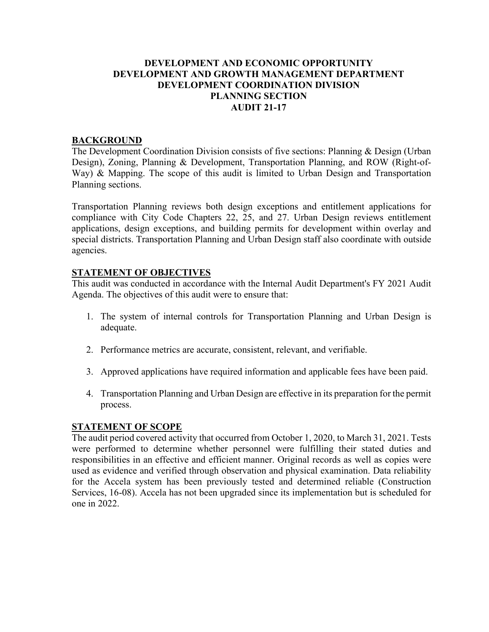## **DEVELOPMENT AND ECONOMIC OPPORTUNITY DEVELOPMENT AND GROWTH MANAGEMENT DEPARTMENT DEVELOPMENT COORDINATION DIVISION PLANNING SECTION AUDIT 21-17**

### **BACKGROUND**

The Development Coordination Division consists of five sections: Planning & Design (Urban Design), Zoning, Planning & Development, Transportation Planning, and ROW (Right-of-Way) & Mapping. The scope of this audit is limited to Urban Design and Transportation Planning sections.

Transportation Planning reviews both design exceptions and entitlement applications for compliance with City Code Chapters 22, 25, and 27. Urban Design reviews entitlement applications, design exceptions, and building permits for development within overlay and special districts. Transportation Planning and Urban Design staff also coordinate with outside agencies.

## **STATEMENT OF OBJECTIVES**

This audit was conducted in accordance with the Internal Audit Department's FY 2021 Audit Agenda. The objectives of this audit were to ensure that:

- 1. The system of internal controls for Transportation Planning and Urban Design is adequate.
- 2. Performance metrics are accurate, consistent, relevant, and verifiable.
- 3. Approved applications have required information and applicable fees have been paid.
- 4. Transportation Planning and Urban Design are effective in its preparation for the permit process.

#### **STATEMENT OF SCOPE**

The audit period covered activity that occurred from October 1, 2020, to March 31, 2021. Tests were performed to determine whether personnel were fulfilling their stated duties and responsibilities in an effective and efficient manner. Original records as well as copies were used as evidence and verified through observation and physical examination. Data reliability for the Accela system has been previously tested and determined reliable (Construction Services, 16-08). Accela has not been upgraded since its implementation but is scheduled for one in 2022.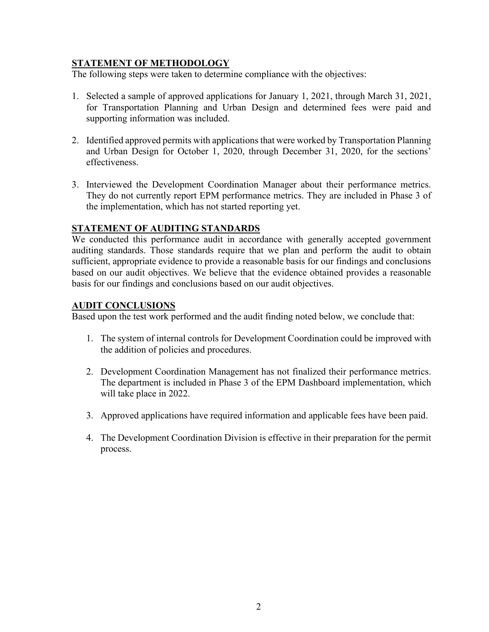# **STATEMENT OF METHODOLOGY**

The following steps were taken to determine compliance with the objectives:

- 1. Selected a sample of approved applications for January 1, 2021, through March 31, 2021, for Transportation Planning and Urban Design and determined fees were paid and supporting information was included.
- 2. Identified approved permits with applications that were worked by Transportation Planning and Urban Design for October 1, 2020, through December 31, 2020, for the sections' effectiveness.
- 3. Interviewed the Development Coordination Manager about their performance metrics. They do not currently report EPM performance metrics. They are included in Phase 3 of the implementation, which has not started reporting yet.

## **STATEMENT OF AUDITING STANDARDS**

We conducted this performance audit in accordance with generally accepted government auditing standards. Those standards require that we plan and perform the audit to obtain sufficient, appropriate evidence to provide a reasonable basis for our findings and conclusions based on our audit objectives. We believe that the evidence obtained provides a reasonable basis for our findings and conclusions based on our audit objectives.

## **AUDIT CONCLUSIONS**

Based upon the test work performed and the audit finding noted below, we conclude that:

- 1. The system of internal controls for Development Coordination could be improved with the addition of policies and procedures.
- 2. Development Coordination Management has not finalized their performance metrics. The department is included in Phase 3 of the EPM Dashboard implementation, which will take place in 2022.
- 3. Approved applications have required information and applicable fees have been paid.
- 4. The Development Coordination Division is effective in their preparation for the permit process.